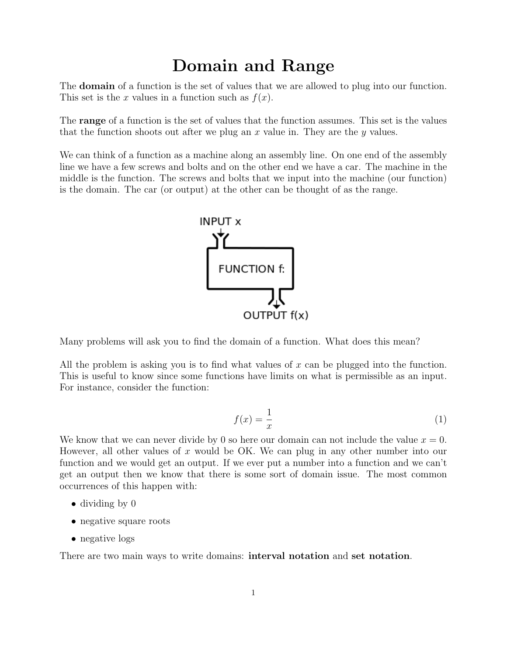# Domain and Range

The domain of a function is the set of values that we are allowed to plug into our function. This set is the x values in a function such as  $f(x)$ .

The range of a function is the set of values that the function assumes. This set is the values that the function shoots out after we plug an  $x$  value in. They are the  $y$  values.

We can think of a function as a machine along an assembly line. On one end of the assembly line we have a few screws and bolts and on the other end we have a car. The machine in the middle is the function. The screws and bolts that we input into the machine (our function) is the domain. The car (or output) at the other can be thought of as the range.



Many problems will ask you to find the domain of a function. What does this mean?

All the problem is asking you is to find what values of x can be plugged into the function. This is useful to know since some functions have limits on what is permissible as an input. For instance, consider the function:

$$
f(x) = \frac{1}{x} \tag{1}
$$

We know that we can never divide by 0 so here our domain can not include the value  $x = 0$ . However, all other values of x would be OK. We can plug in any other number into our function and we would get an output. If we ever put a number into a function and we can't get an output then we know that there is some sort of domain issue. The most common occurrences of this happen with:

- dividing by 0
- negative square roots
- negative logs

There are two main ways to write domains: **interval notation** and set notation.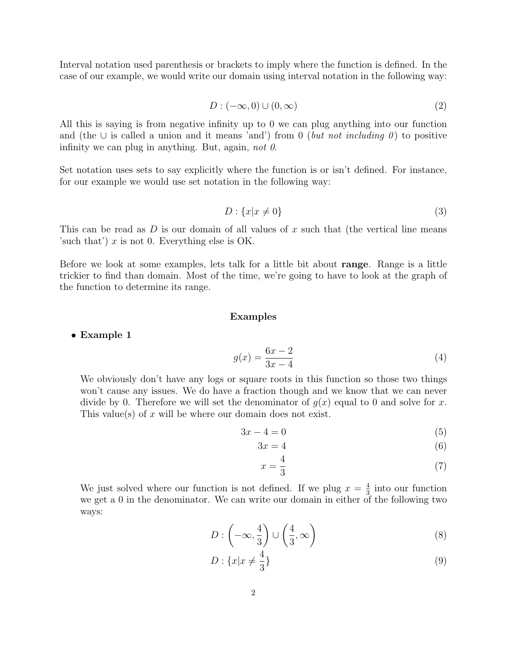Interval notation used parenthesis or brackets to imply where the function is defined. In the case of our example, we would write our domain using interval notation in the following way:

$$
D: (-\infty, 0) \cup (0, \infty) \tag{2}
$$

All this is saying is from negative infinity up to 0 we can plug anything into our function and (the ∪ is called a union and it means 'and') from 0 (but not including 0) to positive infinity we can plug in anything. But, again, not  $\theta$ .

Set notation uses sets to say explicitly where the function is or isn't defined. For instance, for our example we would use set notation in the following way:

$$
D: \{x|x \neq 0\} \tag{3}
$$

This can be read as  $D$  is our domain of all values of x such that (the vertical line means 'such that')  $x$  is not 0. Everything else is OK.

Before we look at some examples, lets talk for a little bit about range. Range is a little trickier to find than domain. Most of the time, we're going to have to look at the graph of the function to determine its range.

## Examples

## • Example 1

$$
g(x) = \frac{6x - 2}{3x - 4}
$$
 (4)

We obviously don't have any logs or square roots in this function so those two things won't cause any issues. We do have a fraction though and we know that we can never divide by 0. Therefore we will set the denominator of  $g(x)$  equal to 0 and solve for x. This value(s) of x will be where our domain does not exist.

$$
3x - 4 = 0 \tag{5}
$$

$$
3x = 4 \tag{6}
$$

$$
x = \frac{4}{3} \tag{7}
$$

We just solved where our function is not defined. If we plug  $x=\frac{4}{3}$  $\frac{4}{3}$  into our function we get a 0 in the denominator. We can write our domain in either of the following two ways:

$$
D: \left(-\infty, \frac{4}{3}\right) \cup \left(\frac{4}{3}, \infty\right) \tag{8}
$$

$$
D: \{x|x \neq \frac{4}{3}\}\tag{9}
$$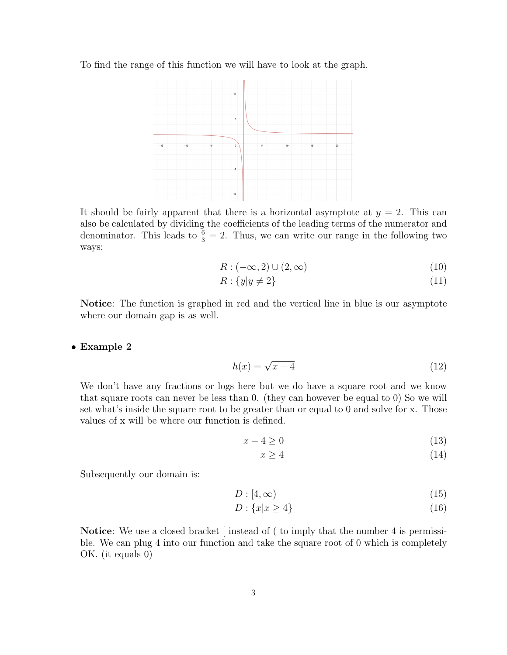To find the range of this function we will have to look at the graph.



It should be fairly apparent that there is a horizontal asymptote at  $y = 2$ . This can also be calculated by dividing the coefficients of the leading terms of the numerator and denominator. This leads to  $\frac{6}{3} = 2$ . Thus, we can write our range in the following two ways:

$$
R: (-\infty, 2) \cup (2, \infty) \tag{10}
$$

$$
R: \{y|y \neq 2\} \tag{11}
$$

Notice: The function is graphed in red and the vertical line in blue is our asymptote where our domain gap is as well.

## • Example 2

$$
h(x) = \sqrt{x - 4} \tag{12}
$$

We don't have any fractions or logs here but we do have a square root and we know that square roots can never be less than 0. (they can however be equal to 0) So we will set what's inside the square root to be greater than or equal to 0 and solve for x. Those values of x will be where our function is defined.

$$
x - 4 \ge 0 \tag{13}
$$

$$
x \ge 4\tag{14}
$$

Subsequently our domain is:

$$
D: [4, \infty) \tag{15}
$$

$$
D: \{x|x \ge 4\} \tag{16}
$$

Notice: We use a closed bracket [instead of (to imply that the number 4 is permissible. We can plug 4 into our function and take the square root of 0 which is completely OK. (it equals 0)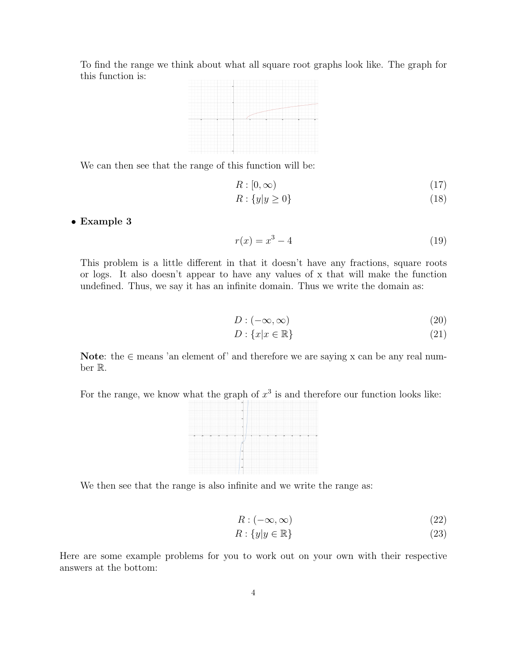To find the range we think about what all square root graphs look like. The graph for this function is:



We can then see that the range of this function will be:

$$
R: [0, \infty) \tag{17}
$$

$$
R: \{y|y \ge 0\} \tag{18}
$$

# • Example 3

$$
r(x) = x^3 - 4
$$
 (19)

This problem is a little different in that it doesn't have any fractions, square roots or logs. It also doesn't appear to have any values of x that will make the function undefined. Thus, we say it has an infinite domain. Thus we write the domain as:

$$
D: (-\infty, \infty) \tag{20}
$$

$$
D: \{x|x \in \mathbb{R}\}\tag{21}
$$

Note: the  $\in$  means 'an element of' and therefore we are saying x can be any real number R.

For the range, we know what the graph of  $x^3$  is and therefore our function looks like:



We then see that the range is also infinite and we write the range as:

$$
R: (-\infty, \infty) \tag{22}
$$

$$
R: \{y | y \in \mathbb{R}\}\tag{23}
$$

Here are some example problems for you to work out on your own with their respective answers at the bottom: